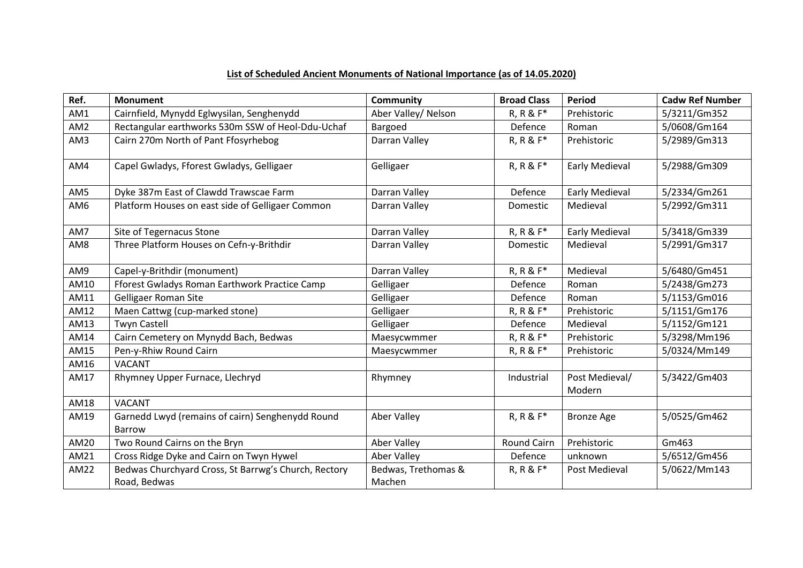## **List of Scheduled Ancient Monuments of National Importance (as of 14.05.2020)**

| Ref.            | <b>Monument</b>                                                   | <b>Community</b>    | <b>Broad Class</b> | <b>Period</b>            | <b>Cadw Ref Number</b> |
|-----------------|-------------------------------------------------------------------|---------------------|--------------------|--------------------------|------------------------|
| AM1             | Cairnfield, Mynydd Eglwysilan, Senghenydd                         | Aber Valley/ Nelson | R, R & F*          | Prehistoric              | 5/3211/Gm352           |
| AM <sub>2</sub> | Rectangular earthworks 530m SSW of Heol-Ddu-Uchaf                 | Bargoed             | Defence            | Roman                    | 5/0608/Gm164           |
| AM3             | Cairn 270m North of Pant Ffosyrhebog                              | Darran Valley       | R, R & F*          | Prehistoric              | 5/2989/Gm313           |
| AM4             | Capel Gwladys, Fforest Gwladys, Gelligaer                         | Gelligaer           | R, R & F*          | <b>Early Medieval</b>    | 5/2988/Gm309           |
| AM5             | Dyke 387m East of Clawdd Trawscae Farm                            | Darran Valley       | Defence            | <b>Early Medieval</b>    | 5/2334/Gm261           |
| AM6             | Platform Houses on east side of Gelligaer Common                  | Darran Valley       | Domestic           | Medieval                 | 5/2992/Gm311           |
| AM7             | Site of Tegernacus Stone                                          | Darran Valley       | R, R & F*          | <b>Early Medieval</b>    | 5/3418/Gm339           |
| AM8             | Three Platform Houses on Cefn-y-Brithdir                          | Darran Valley       | Domestic           | Medieval                 | 5/2991/Gm317           |
| AM9             | Capel-y-Brithdir (monument)                                       | Darran Valley       | R, R & F*          | Medieval                 | 5/6480/Gm451           |
| AM10            | Fforest Gwladys Roman Earthwork Practice Camp                     | Gelligaer           | Defence            | Roman                    | 5/2438/Gm273           |
| AM11            | Gelligaer Roman Site                                              | Gelligaer           | Defence            | Roman                    | 5/1153/Gm016           |
| AM12            | Maen Cattwg (cup-marked stone)                                    | Gelligaer           | R, R & F*          | Prehistoric              | 5/1151/Gm176           |
| AM13            | <b>Twyn Castell</b>                                               | Gelligaer           | Defence            | Medieval                 | 5/1152/Gm121           |
| AM14            | Cairn Cemetery on Mynydd Bach, Bedwas                             | Maesycwmmer         | R, R & F*          | Prehistoric              | 5/3298/Mm196           |
| AM15            | Pen-y-Rhiw Round Cairn                                            | Maesycwmmer         | R, R & F*          | Prehistoric              | 5/0324/Mm149           |
| AM16            | <b>VACANT</b>                                                     |                     |                    |                          |                        |
| AM17            | Rhymney Upper Furnace, Llechryd                                   | Rhymney             | Industrial         | Post Medieval/<br>Modern | 5/3422/Gm403           |
| AM18            | <b>VACANT</b>                                                     |                     |                    |                          |                        |
| AM19            | Garnedd Lwyd (remains of cairn) Senghenydd Round<br><b>Barrow</b> | Aber Valley         | R, R & F*          | <b>Bronze Age</b>        | 5/0525/Gm462           |
| AM20            | Two Round Cairns on the Bryn                                      | Aber Valley         | Round Cairn        | Prehistoric              | Gm463                  |
| AM21            | Cross Ridge Dyke and Cairn on Twyn Hywel                          | Aber Valley         | Defence            | unknown                  | 5/6512/Gm456           |
| AM22            | Bedwas Churchyard Cross, St Barrwg's Church, Rectory              | Bedwas, Trethomas & | R, R & F*          | Post Medieval            | 5/0622/Mm143           |
|                 | Road, Bedwas                                                      | Machen              |                    |                          |                        |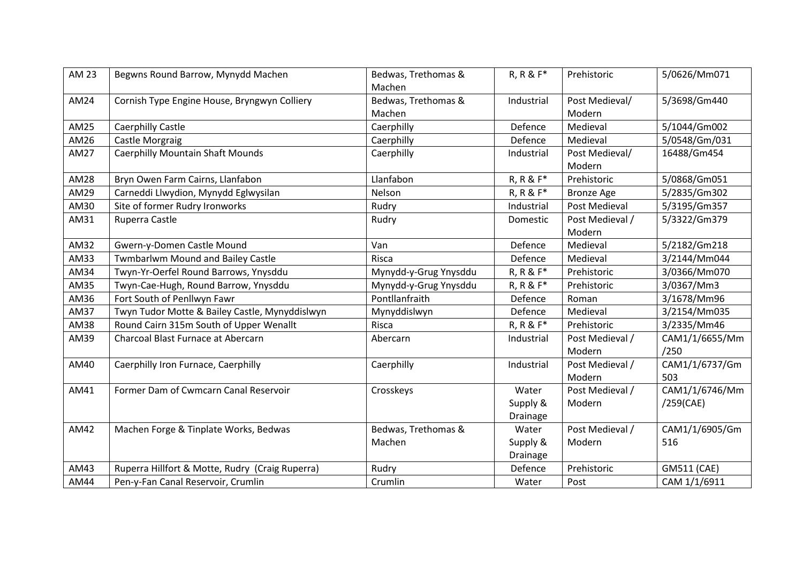| <b>AM 23</b> | Begwns Round Barrow, Mynydd Machen              | Bedwas, Trethomas &   | $R, R & F^*$ | Prehistoric       | 5/0626/Mm071   |
|--------------|-------------------------------------------------|-----------------------|--------------|-------------------|----------------|
|              |                                                 | Machen                |              |                   |                |
| AM24         | Cornish Type Engine House, Bryngwyn Colliery    | Bedwas, Trethomas &   | Industrial   | Post Medieval/    | 5/3698/Gm440   |
|              |                                                 | Machen                |              | Modern            |                |
| AM25         | Caerphilly Castle                               | Caerphilly            | Defence      | Medieval          | 5/1044/Gm002   |
| AM26         | Castle Morgraig                                 | Caerphilly            | Defence      | Medieval          | 5/0548/Gm/031  |
| <b>AM27</b>  | <b>Caerphilly Mountain Shaft Mounds</b>         | Caerphilly            | Industrial   | Post Medieval/    | 16488/Gm454    |
|              |                                                 |                       |              | Modern            |                |
| <b>AM28</b>  | Bryn Owen Farm Cairns, Llanfabon                | Llanfabon             | R, R & F*    | Prehistoric       | 5/0868/Gm051   |
| AM29         | Carneddi Llwydion, Mynydd Eglwysilan            | Nelson                | R, R & F*    | <b>Bronze Age</b> | 5/2835/Gm302   |
| AM30         | Site of former Rudry Ironworks                  | Rudry                 | Industrial   | Post Medieval     | 5/3195/Gm357   |
| AM31         | Ruperra Castle                                  | Rudry                 | Domestic     | Post Medieval /   | 5/3322/Gm379   |
|              |                                                 |                       |              | Modern            |                |
| AM32         | Gwern-y-Domen Castle Mound                      | Van                   | Defence      | Medieval          | 5/2182/Gm218   |
| AM33         | <b>Twmbarlwm Mound and Bailey Castle</b>        | Risca                 | Defence      | Medieval          | 3/2144/Mm044   |
| AM34         | Twyn-Yr-Oerfel Round Barrows, Ynysddu           | Mynydd-y-Grug Ynysddu | R, R & F*    | Prehistoric       | 3/0366/Mm070   |
| AM35         | Twyn-Cae-Hugh, Round Barrow, Ynysddu            | Mynydd-y-Grug Ynysddu | R, R & F*    | Prehistoric       | 3/0367/Mm3     |
| AM36         | Fort South of Penllwyn Fawr                     | Pontllanfraith        | Defence      | Roman             | 3/1678/Mm96    |
| <b>AM37</b>  | Twyn Tudor Motte & Bailey Castle, Mynyddislwyn  | Mynyddislwyn          | Defence      | Medieval          | 3/2154/Mm035   |
| AM38         | Round Cairn 315m South of Upper Wenallt         | Risca                 | R, R & F*    | Prehistoric       | 3/2335/Mm46    |
| AM39         | Charcoal Blast Furnace at Abercarn              | Abercarn              | Industrial   | Post Medieval /   | CAM1/1/6655/Mm |
|              |                                                 |                       |              | Modern            | /250           |
| AM40         | Caerphilly Iron Furnace, Caerphilly             | Caerphilly            | Industrial   | Post Medieval /   | CAM1/1/6737/Gm |
|              |                                                 |                       |              | Modern            | 503            |
| AM41         | Former Dam of Cwmcarn Canal Reservoir           | Crosskeys             | Water        | Post Medieval /   | CAM1/1/6746/Mm |
|              |                                                 |                       | Supply &     | Modern            | /259(CAE)      |
|              |                                                 |                       | Drainage     |                   |                |
| AM42         | Machen Forge & Tinplate Works, Bedwas           | Bedwas, Trethomas &   | Water        | Post Medieval /   | CAM1/1/6905/Gm |
|              |                                                 | Machen                | Supply &     | Modern            | 516            |
|              |                                                 |                       | Drainage     |                   |                |
| AM43         | Ruperra Hillfort & Motte, Rudry (Craig Ruperra) | Rudry                 | Defence      | Prehistoric       | GM511 (CAE)    |
| AM44         | Pen-y-Fan Canal Reservoir, Crumlin              | Crumlin               | Water        | Post              | CAM 1/1/6911   |